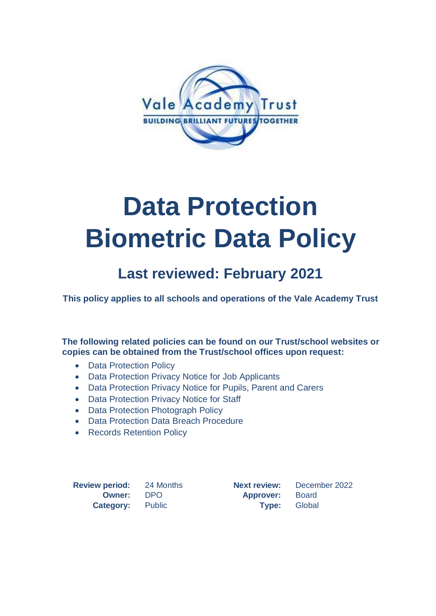

# **Data Protection Biometric Data Policy**

## **Last reviewed: February 2021**

**This policy applies to all schools and operations of the Vale Academy Trust**

**The following related policies can be found on our Trust/school websites or copies can be obtained from the Trust/school offices upon request:**

- Data Protection Policy
- Data Protection Privacy Notice for Job Applicants
- Data Protection Privacy Notice for Pupils, Parent and Carers
- Data Protection Privacy Notice for Staff
- Data Protection Photograph Policy
- Data Protection Data Breach Procedure
- Records Retention Policy

**Review period:** 24 Months **Next review:** December 2022 **Owner:** DPO **Approver:** Board **Category:** Public **Type:** Global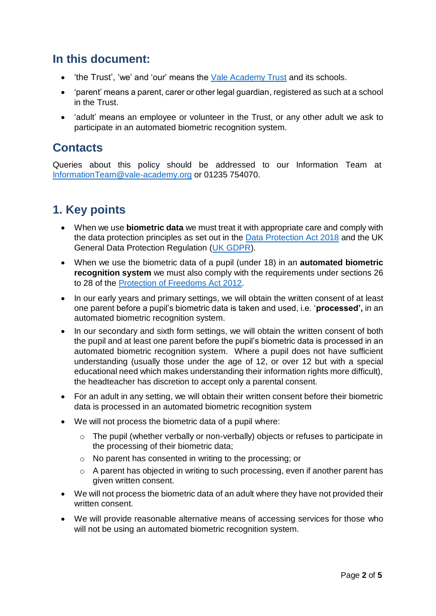## **In this document:**

- 'the Trust', 'we' and 'our' means the [Vale Academy Trust](https://www.vale-academy.org/wp-content/uploads/Adoption-Leave-and-Pay-Scheme-for-Teachers.pdf) and its schools.
- 'parent' means a parent, carer or other legal guardian, registered as such at a school in the Trust.
- 'adult' means an employee or volunteer in the Trust, or any other adult we ask to participate in an automated biometric recognition system.

## **Contacts**

Queries about this policy should be addressed to our Information Team at [InformationTeam@vale-academy.org](mailto:InformationTeam@vale-academy.org) or 01235 754070.

## **1. Key points**

- When we use **biometric data** we must treat it with appropriate care and comply with the data protection principles as set out in the [Data Protection Act 2018](https://www.legislation.gov.uk/ukpga/2018/12/contents/enacted) and the UK General Data Protection Regulation [\(UK GDPR\)](https://www.gov.uk/data-protection).
- When we use the biometric data of a pupil (under 18) in an **automated biometric recognition system** we must also comply with the requirements under sections 26 to 28 of the [Protection of Freedoms Act 2012.](https://www.legislation.gov.uk/ukpga/2012/9/contents/enacted)
- In our early years and primary settings, we will obtain the written consent of at least one parent before a pupil's biometric data is taken and used, i.e. '**processed',** in an automated biometric recognition system.
- In our secondary and sixth form settings, we will obtain the written consent of both the pupil and at least one parent before the pupil's biometric data is processed in an automated biometric recognition system. Where a pupil does not have sufficient understanding (usually those under the age of 12, or over 12 but with a special educational need which makes understanding their information rights more difficult), the headteacher has discretion to accept only a parental consent.
- For an adult in any setting, we will obtain their written consent before their biometric data is processed in an automated biometric recognition system
- We will not process the biometric data of a pupil where:
	- o The pupil (whether verbally or non-verbally) objects or refuses to participate in the processing of their biometric data;
	- o No parent has consented in writing to the processing; or
	- o A parent has objected in writing to such processing, even if another parent has given written consent.
- We will not process the biometric data of an adult where they have not provided their written consent.
- We will provide reasonable alternative means of accessing services for those who will not be using an automated biometric recognition system.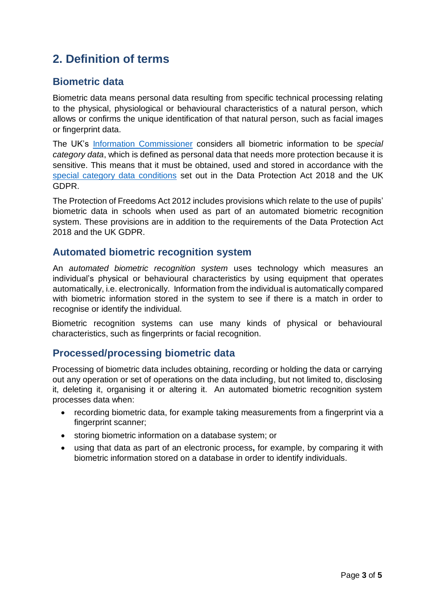## **2. Definition of terms**

### **Biometric data**

Biometric data means personal data resulting from specific technical processing relating to the physical, physiological or behavioural characteristics of a natural person, which allows or confirms the unique identification of that natural person, such as facial images or fingerprint data.

The UK's [Information Commissioner](https://ico.org.uk/) considers all biometric information to be *special category data*, which is defined as personal data that needs more protection because it is sensitive. This means that it must be obtained, used and stored in accordance with the [special category data conditions](https://ico.org.uk/for-organisations/guide-to-data-protection/guide-to-the-general-data-protection-regulation-gdpr/lawful-basis-for-processing/special-category-data/) set out in the Data Protection Act 2018 and the UK GDPR.

The Protection of Freedoms Act 2012 includes provisions which relate to the use of pupils' biometric data in schools when used as part of an automated biometric recognition system. These provisions are in addition to the requirements of the Data Protection Act 2018 and the UK GDPR.

#### **Automated biometric recognition system**

An *automated biometric recognition system* uses technology which measures an individual's physical or behavioural characteristics by using equipment that operates automatically, i.e. electronically. Information from the individual is automatically compared with biometric information stored in the system to see if there is a match in order to recognise or identify the individual.

Biometric recognition systems can use many kinds of physical or behavioural characteristics, such as fingerprints or facial recognition.

#### **Processed/processing biometric data**

Processing of biometric data includes obtaining, recording or holding the data or carrying out any operation or set of operations on the data including, but not limited to, disclosing it, deleting it, organising it or altering it. An automated biometric recognition system processes data when:

- recording biometric data, for example taking measurements from a fingerprint via a fingerprint scanner;
- storing biometric information on a database system; or
- using that data as part of an electronic process**,** for example, by comparing it with biometric information stored on a database in order to identify individuals.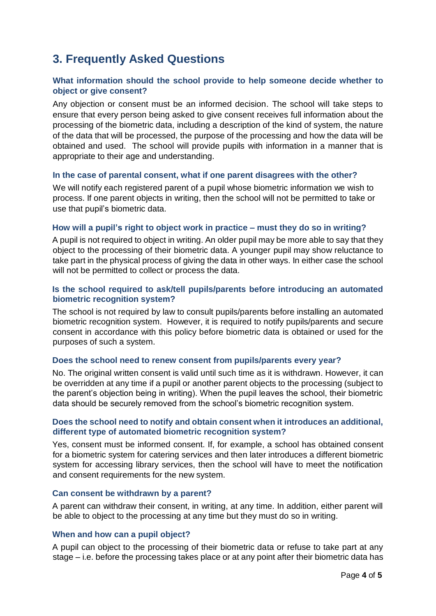## **3. Frequently Asked Questions**

#### **What information should the school provide to help someone decide whether to object or give consent?**

Any objection or consent must be an informed decision. The school will take steps to ensure that every person being asked to give consent receives full information about the processing of the biometric data, including a description of the kind of system, the nature of the data that will be processed, the purpose of the processing and how the data will be obtained and used. The school will provide pupils with information in a manner that is appropriate to their age and understanding.

#### **In the case of parental consent, what if one parent disagrees with the other?**

We will notify each registered parent of a pupil whose biometric information we wish to process. If one parent objects in writing, then the school will not be permitted to take or use that pupil's biometric data.

#### **How will a pupil's right to object work in practice – must they do so in writing?**

A pupil is not required to object in writing. An older pupil may be more able to say that they object to the processing of their biometric data. A younger pupil may show reluctance to take part in the physical process of giving the data in other ways. In either case the school will not be permitted to collect or process the data.

#### **Is the school required to ask/tell pupils/parents before introducing an automated biometric recognition system?**

The school is not required by law to consult pupils/parents before installing an automated biometric recognition system. However, it is required to notify pupils/parents and secure consent in accordance with this policy before biometric data is obtained or used for the purposes of such a system.

#### **Does the school need to renew consent from pupils/parents every year?**

No. The original written consent is valid until such time as it is withdrawn. However, it can be overridden at any time if a pupil or another parent objects to the processing (subject to the parent's objection being in writing). When the pupil leaves the school, their biometric data should be securely removed from the school's biometric recognition system.

#### **Does the school need to notify and obtain consent when it introduces an additional, different type of automated biometric recognition system?**

Yes, consent must be informed consent. If, for example, a school has obtained consent for a biometric system for catering services and then later introduces a different biometric system for accessing library services, then the school will have to meet the notification and consent requirements for the new system.

#### **Can consent be withdrawn by a parent?**

A parent can withdraw their consent, in writing, at any time. In addition, either parent will be able to object to the processing at any time but they must do so in writing.

#### **When and how can a pupil object?**

A pupil can object to the processing of their biometric data or refuse to take part at any stage – i.e. before the processing takes place or at any point after their biometric data has